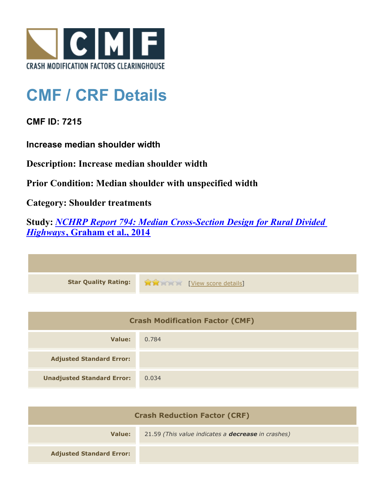

## **CMF / CRF Details**

**CMF ID: 7215**

**Increase median shoulder width**

**Description: Increase median shoulder width**

**Prior Condition: Median shoulder with unspecified width**

**Category: Shoulder treatments**

**Study:** *[NCHRP Report 794: Median Cross-Section Design for Rural Divided](http://www.cmfclearinghouse.org/study_detail.cfm?stid=420) [Highways](http://www.cmfclearinghouse.org/study_detail.cfm?stid=420)***[, Graham et al., 2014](http://www.cmfclearinghouse.org/study_detail.cfm?stid=420)**

| Star Quality Rating: 1999 [View score details] |
|------------------------------------------------|

| <b>Crash Modification Factor (CMF)</b> |       |
|----------------------------------------|-------|
| Value:                                 | 0.784 |
| <b>Adjusted Standard Error:</b>        |       |
| <b>Unadjusted Standard Error:</b>      | 0.034 |

| <b>Crash Reduction Factor (CRF)</b> |                                                           |
|-------------------------------------|-----------------------------------------------------------|
| Value:                              | 21.59 (This value indicates a <b>decrease</b> in crashes) |
| <b>Adjusted Standard Error:</b>     |                                                           |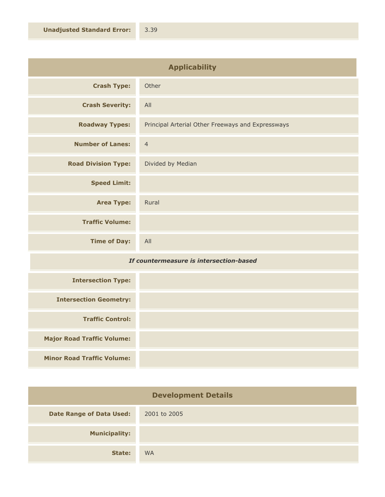| <b>Applicability</b>       |                                                   |
|----------------------------|---------------------------------------------------|
| <b>Crash Type:</b>         | Other                                             |
| <b>Crash Severity:</b>     | All                                               |
| <b>Roadway Types:</b>      | Principal Arterial Other Freeways and Expressways |
| <b>Number of Lanes:</b>    | $\overline{4}$                                    |
| <b>Road Division Type:</b> | Divided by Median                                 |
| <b>Speed Limit:</b>        |                                                   |
| <b>Area Type:</b>          | Rural                                             |
| <b>Traffic Volume:</b>     |                                                   |
| <b>Time of Day:</b>        | All                                               |

## *If countermeasure is intersection-based*

| <b>Intersection Type:</b>         |  |
|-----------------------------------|--|
| <b>Intersection Geometry:</b>     |  |
| <b>Traffic Control:</b>           |  |
| <b>Major Road Traffic Volume:</b> |  |
| <b>Minor Road Traffic Volume:</b> |  |

| <b>Development Details</b>      |              |
|---------------------------------|--------------|
| <b>Date Range of Data Used:</b> | 2001 to 2005 |
| <b>Municipality:</b>            |              |
| State:                          | <b>WA</b>    |